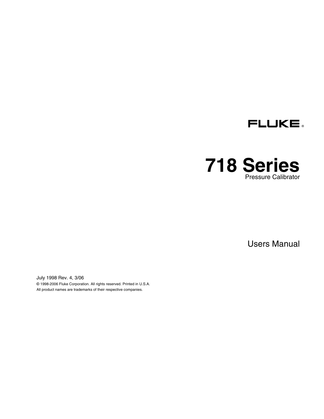

# **718 Series**  Pressure Calibrator

Users Manual

July 1998 Rev. 4, 3/06 © 1998-2006 Fluke Corporation. All rights reserved. Printed in U.S.A. All product names are trademarks of their respective companies.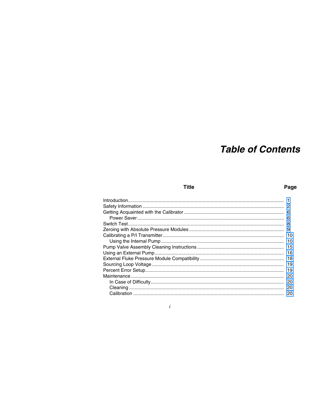# **Table of Contents**

## **Title**

## Page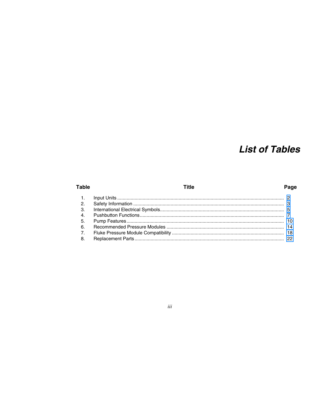# **List of Tables**

## **Table**

## **Title**

## Page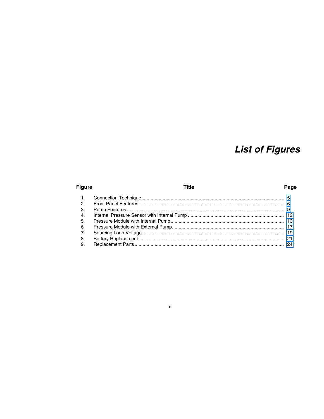# **List of Figures**

## **Figure**

## **Title**

## Page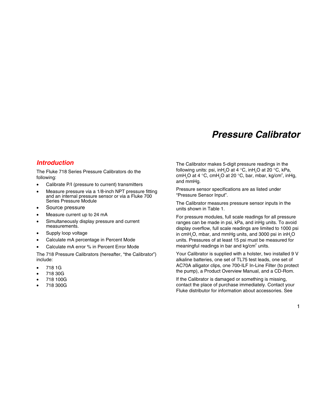# *Pressure Calibrator*

## <span id="page-8-0"></span>*Introduction*

The Fluke 718 Series Pressure Calibrators do the following:

- Calibrate P/I (pressure to current) transmitters
- Measure pressure via a 1/8-inch NPT pressure fitting and an internal pressure sensor or via a Fluke 700 Series Pressure Module
- Source pressure
- Measure current up to 24 mA
- Simultaneously display pressure and current measurements.
- Supply loop voltage
- Calculate mA percentage in Percent Mode
- Calculate mA error % in Percent Frror Mode

The 718 Pressure Calibrators (hereafter, "the Calibrator") include:

- 718 1G
- 718 30G
- 718 100G
- 718 300G

The Calibrator makes 5-digit pressure readings in the following units: psi, inH<sub>2</sub>O at 4  $\,^{\circ}$ C, inH<sub>2</sub>O at 20  $\,^{\circ}$ C, kPa, cmH<sub>2</sub>O at 4 °C, cmH<sub>2</sub>O at 20 °C, bar, mbar, kg/cm<sup>2</sup>, inHg, and mmHg.

Pressure sensor specifications are as listed under "Pressure Sensor Input".

The Calibrator measures pressure sensor inputs in the units shown in Table 1.

For pressure modules, full scale readings for all pressure ranges can be made in psi, kPa, and inHg units. To avoid display overflow, full scale readings are limited to 1000 psi in cmH $_{2}$ O, mbar, and mmHg units, and 3000 psi in inH $_{2}$ O units. Pressures of at least 15 psi must be measured for meaningful readings in bar and  $kg/cm<sup>2</sup>$  units.

Your Calibrator is supplied with a holster, two installed 9 V alkaline batteries, one set of TL75 test leads, one set of AC70A alligator clips, one 700-ILF In-Line Filter (to protect the pump), a Product Overview Manual, and a CD-Rom.

If the Calibrator is damaged or something is missing, contact the place of purchase immediately. Contact your Fluke distributor for information about accessories. See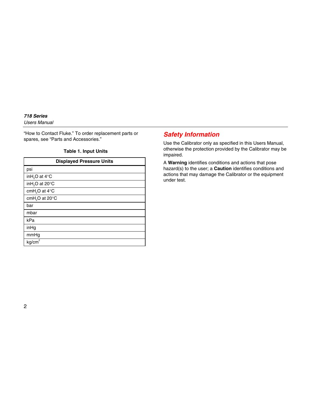#### <span id="page-9-0"></span>*718 Series Users Manual*

"How to Contact Fluke." To order replacement parts or spares, see "Parts and Accessories."

#### **Table 1. Input Units**

| <b>Displayed Pressure Units</b>     |
|-------------------------------------|
| psi                                 |
| inH <sub>2</sub> O at 4°C           |
| inH <sub>2</sub> O at 20°C          |
| cmH <sub>2</sub> O at $4^{\circ}$ C |
| cmH <sub>2</sub> O at 20°C          |
| bar                                 |
| mbar                                |
| kPa                                 |
| inHg                                |
| mmHg                                |
| kg/cm <sup>2</sup>                  |

# *Safety Information*

Use the Calibrator only as specified in this Users Manual, otherwise the protection provided by the Calibrator may be impaired.

A **Warning** identifies conditions and actions that pose hazard(s) to the user; a **Caution** identifies conditions and actions that may damage the Calibrator or the equipment under test.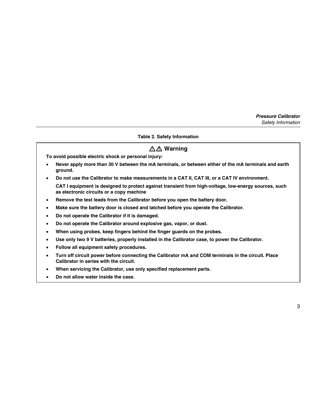#### **Table 2. Safety Information**

# XW **Warning**

<span id="page-10-0"></span>**To avoid possible electric shock or personal injury:** 

- **Never apply more than 30 V between the mA terminals, or between either of the mA terminals and earth ground.**
- **Do not use the Calibrator to make measurements in a CAT II, CAT III, or a CAT IV environment. CAT I equipment is designed to protect against transient from high-voltage, low-energy sources, such as electronic circuits or a copy machine**
- **Remove the test leads from the Calibrator before you open the battery door.**
- **Make sure the battery door is closed and latched before you operate the Calibrator.**
- **Do not operate the Calibrator if it is damaged.**
- **Do not operate the Calibrator around explosive gas, vapor, or dust.**
- **When using probes, keep fingers behind the finger guards on the probes.**
- **Use only two 9 V batteries, properly installed in the Calibrator case, to power the Calibrator.**
- **Follow all equipment safety procedures.**
- **Turn off circuit power before connecting the Calibrator mA and COM terminals in the circuit. Place Calibrator in series with the circuit.**
- **When servicing the Calibrator, use only specified replacement parts.**
- **Do not allow water inside the case.**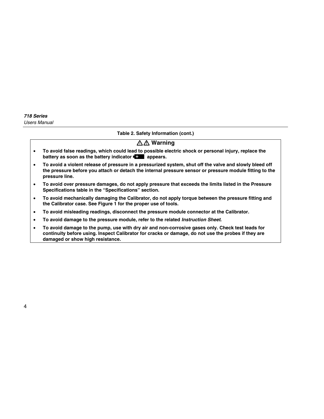#### **Table 2. Safety Information (cont.)**

# A **Marning**

- **To avoid false readings, which could lead to possible electric shock or personal injury, replace the battery as soon as the battery indicator <b>B** appears.
- **To avoid a violent release of pressure in a pressurized system, shut off the valve and slowly bleed off the pressure before you attach or detach the internal pressure sensor or pressure module fitting to the pressure line.**
- **To avoid over pressure damages, do not apply pressure that exceeds the limits listed in the Pressure Specifications table in the "Specifications" section.**
- **To avoid mechanically damaging the Calibrator, do not apply torque between the pressure fitting and the Calibrator case. See Figure 1 for the proper use of tools.**
- **To avoid misleading readings, disconnect the pressure module connector at the Calibrator.**
- **To avoid damage to the pressure module, refer to the related** *Instruction Sheet***.**
- **To avoid damage to the pump, use with dry air and non-corrosive gases only. Check test leads for continuity before using. Inspect Calibrator for cracks or damage, do not use the probes if they are damaged or show high resistance.**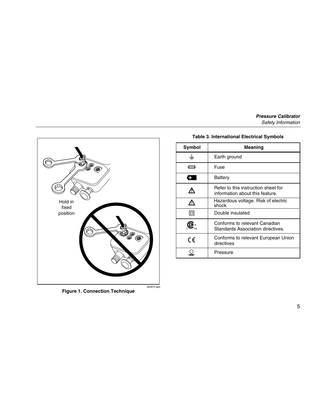<span id="page-12-0"></span>

## **Figure 1. Connection Technique**

#### **Table 3. International Electrical Symbols**

| Symbol  | Meaning                                                                |  |  |
|---------|------------------------------------------------------------------------|--|--|
|         | Earth ground                                                           |  |  |
|         | Fuse                                                                   |  |  |
|         | Battery                                                                |  |  |
|         | Refer to this instruction sheet for<br>information about this feature. |  |  |
|         | Hazardous voltage. Risk of electric<br>shock.                          |  |  |
| п       | Double insulated                                                       |  |  |
|         | Conforms to relevant Canadian<br>Standards Association directives.     |  |  |
| $C \in$ | Conforms to relevant European Union<br>directives                      |  |  |
|         | Pressure                                                               |  |  |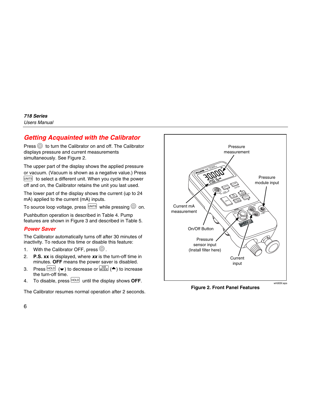# <span id="page-13-0"></span>*Getting Acquainted with the Calibrator*

Press  $\textcircled{1}$  to turn the Calibrator on and off. The Calibrator displays pressure and current measurements simultaneously. See Figure 2.

The upper part of the display shows the applied pressure or vacuum. (Vacuum is shown as a negative value.) Press  $[UNITS]$  to select a different unit. When you cycle the power off and on, the Calibrator retains the unit you last used.

The lower part of the display shows the current (up to 24 mA) applied to the current (mA) inputs.

To source loop voltage, press  $\overline{UNTS}$  while pressing  $\textcircled{2}$  on.

Pushbutton operation is described in Table 4. Pump features are shown in Figure 3 and described in Table 5.

### *Power Saver*

The Calibrator automatically turns off after 30 minutes of inactivity. To reduce this time or disable this feature:

- 1. With the Calibrator OFF, press  $\circledcirc$ .
- 2. **P.S. xx** is displayed, where *xx* is the turn-off time in minutes. **OFF** means the power saver is disabled.
- 3. Press  $\overline{HOLD}$  ( $\rightarrow$ ) to decrease or  $\overline{MODE}$  ( $\rightarrow$ ) to increase the turn-off time.
- 4. To disable, press  $H O E$  until the display shows **OFF**.

The Calibrator resumes normal operation after 2 seconds.



**Figure 2. Front Panel Features**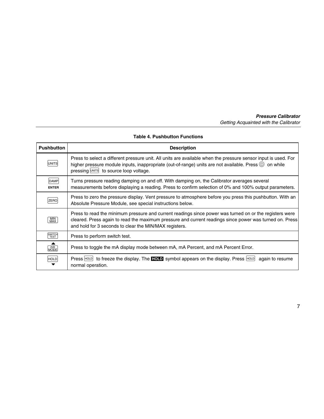#### **Table 4. Pushbutton Functions**

<span id="page-14-0"></span>

| <b>Pushbutton</b>    | <b>Description</b>                                                                                                                                                                                                                                                           |
|----------------------|------------------------------------------------------------------------------------------------------------------------------------------------------------------------------------------------------------------------------------------------------------------------------|
| UNITS                | Press to select a different pressure unit. All units are available when the pressure sensor input is used. For<br>higher pressure module inputs, inappropriate (out-of-range) units are not available. Press $@$ on while<br>pressing <b>UNITS</b> to source loop voltage.   |
| DAMP<br><b>ENTER</b> | Turns pressure reading damping on and off. With damping on, the Calibrator averages several<br>measurements before displaying a reading. Press to confirm selection of 0% and 100% output parameters.                                                                        |
| ZERO                 | Press to zero the pressure display. Vent pressure to atmosphere before you press this pushbutton. With an<br>Absolute Pressure Module, see special instructions below.                                                                                                       |
| MIN<br>MAX           | Press to read the minimum pressure and current readings since power was turned on or the registers were<br>cleared. Press again to read the maximum pressure and current readings since power was turned on. Press<br>and hold for 3 seconds to clear the MIN/MAX registers. |
| SWITCH               | Press to perform switch test.                                                                                                                                                                                                                                                |
| MODE                 | Press to toggle the mA display mode between mA, mA Percent, and mA Percent Error.                                                                                                                                                                                            |
| <b>HOLD</b>          | Press $H^{OLD}$ to freeze the display. The <b>HOLD</b> symbol appears on the display. Press $H^{OLD}$<br>again to resume<br>normal operation.                                                                                                                                |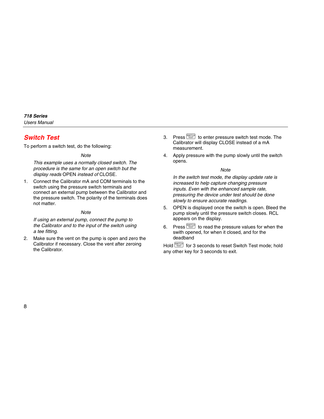# <span id="page-15-0"></span>*Switch Test*

To perform a switch test, do the following:

*Note* 

*This example uses a normally closed switch. The procedure is the same for an open switch but the display reads* OPEN *instead of* CLOSE*.* 

1. Connect the Calibrator mA and COM terminals to the switch using the pressure switch terminals and connect an external pump between the Calibrator and the pressure switch. The polarity of the terminals does not matter.

### *Note*

*If using an external pump, connect the pump to the Calibrator and to the input of the switch using a tee fitting.* 

2. Make sure the vent on the pump is open and zero the Calibrator if necessary. Close the vent after zeroing the Calibrator.

- 3. Press  $\frac{\text{SWITCH}}{\text{TEST}}$  to enter pressure switch test mode. The Calibrator will display CLOSE instead of a mA measurement.
- 4. Apply pressure with the pump slowly until the switch opens.

#### *Note*

*In the switch test mode, the display update rate is increased to help capture changing pressure inputs. Even with the enhanced sample rate, pressuring the device under test should be done slowly to ensure accurate readings.* 

- 5. OPEN is displayed once the switch is open. Bleed the pump slowly until the pressure switch closes. RCL appears on the display.
- 6. Press  $\frac{\text{SWITCH}}{\text{TEST}}$  to read the pressure values for when the swith opened, for when it closed, and for the deadband

Hold  $\frac{\text{SWITCH}}{\text{TEST}}$  for 3 seconds to reset Switch Test mode: hold any other key for 3 seconds to exit.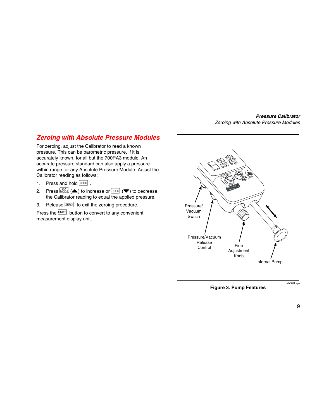## <span id="page-16-0"></span>*Zeroing with Absolute Pressure Modules*

For zeroing, adjust the Calibrator to read a known pressure. This can be barometric pressure, if it is accurately known, for all but the 700PA3 module. An accurate pressure standard can also apply a pressure within range for any Absolute Pressure Module. Adjust the Calibrator reading as follows:

- 1. Press and hold  $\boxed{\mathsf{ZERO}}$ .
- 2. Press  $\boxed{\text{MODE}}$  ( $\blacktriangle$ ) to increase or  $\boxed{\text{HOLD}}$  ( $\blacktriangledown$ ) to decrease the Calibrator reading to equal the applied pressure.
- 3. Release  $\sqrt{2ERO}$  to exit the zeroing procedure.

Press the UNITS button to convert to any convenient measurement display unit.



**Figure 3. Pump Features**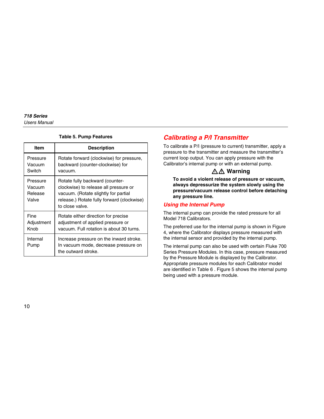#### **Table 5. Pump Features**

<span id="page-17-0"></span>

| Item                                   | <b>Description</b>                                                                                                                                                                |
|----------------------------------------|-----------------------------------------------------------------------------------------------------------------------------------------------------------------------------------|
| Pressure<br>Vacuum<br>Switch           | Rotate forward (clockwise) for pressure,<br>backward (counter-clockwise) for<br>vacuum.                                                                                           |
| Pressure<br>Vacuum<br>Release<br>Valve | Rotate fully backward (counter-<br>clockwise) to release all pressure or<br>vacuum. (Rotate slightly for partial<br>release.) Rotate fully forward (clockwise)<br>to close valve. |
| Fine<br>Adjustment<br>Knob             | Rotate either direction for precise<br>adjustment of applied pressure or<br>vacuum. Full rotation is about 30 turns.                                                              |
| Internal<br>Pump                       | Increase pressure on the inward stroke.<br>In vacuum mode, decrease pressure on<br>the outward stroke.                                                                            |

# *Calibrating a P/I Transmitter*

To calibrate a P/I (pressure to current) transmitter, apply a pressure to the transmitter and measure the transmitter's current loop output. You can apply pressure with the Calibrator's internal pump or with an external pump.

# XW **Warning**

**To avoid a violent release of pressure or vacuum, always depressurize the system slowly using the pressure/vacuum release control before detaching any pressure line.** 

## *Using the Internal Pump*

The internal pump can provide the rated pressure for all Model 718 Calibrators.

The preferred use for the internal pump is shown in Figure 4, where the Calibrator displays pressure measured with the internal sensor and provided by the internal pump.

The internal pump can also be used with certain Fluke 700 Series Pressure Modules. In this case, pressure measured by the Pressure Module is displayed by the Calibrator. Appropriate pressure modules for each Calibrator model are identified in Table 6 . Figure 5 shows the internal pump being used with a pressure module.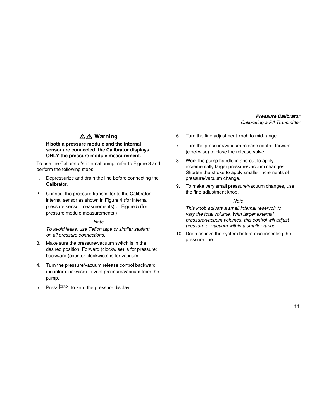# XW **Warning**

#### **If both a pressure module and the internal sensor are connected, the Calibrator displays ONLY the pressure module measurement.**

To use the Calibrator's internal pump, refer to Figure 3 and perform the following steps:

- 1. Depressurize and drain the line before connecting the Calibrator.
- 2. Connect the pressure transmitter to the Calibrator internal sensor as shown in Figure 4 (for internal pressure sensor measurements) or Figure 5 (for pressure module measurements.)

#### *Note*

*To avoid leaks, use Teflon tape or similar sealant on all pressure connections.* 

- 3. Make sure the pressure/vacuum switch is in the desired position. Forward (clockwise) is for pressure; backward (counter-clockwise) is for vacuum.
- 4. Turn the pressure/vacuum release control backward (counter-clockwise) to vent pressure/vacuum from the pump.
- 5. Press  $\sqrt{\text{ZERO}}$  to zero the pressure display.
- 6. Turn the fine adjustment knob to mid-range.
- 7. Turn the pressure/vacuum release control forward (clockwise) to close the release valve.
- 8. Work the pump handle in and out to apply incrementally larger pressure/vacuum changes. Shorten the stroke to apply smaller increments of pressure/vacuum change.
- 9. To make very small pressure/vacuum changes, use the fine adjustment knob.

#### *Note*

*This knob adjusts a small internal reservoir to vary the total volume. With larger external pressure/vacuum volumes, this control will adjust pressure or vacuum within a smaller range.* 

10. Depressurize the system before disconnecting the pressure line.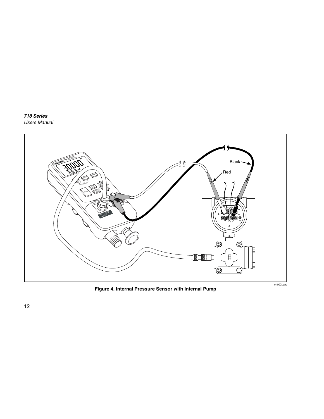<span id="page-19-0"></span>

**Figure 4. Internal Pressure Sensor with Internal Pump**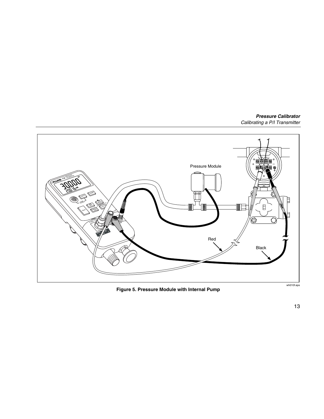<span id="page-20-0"></span>

**Figure 5. Pressure Module with Internal Pump** 

wh010f.eps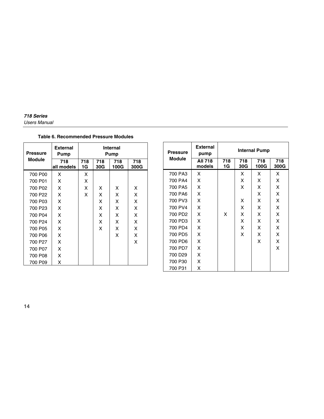#### <span id="page-21-0"></span>**Table 6. Recommended Pressure Modules**

| <b>Pressure</b>     | <b>External</b><br>Pump | Internal<br>Pump |            |             |             |
|---------------------|-------------------------|------------------|------------|-------------|-------------|
| <b>Module</b>       | 718<br>all models       | 718<br>1G        | 718<br>30G | 718<br>100G | 718<br>300G |
| 700 P00             | x                       | x                |            |             |             |
| 700 P01             | x                       | x                |            |             |             |
| 700 P02             | X                       | x                | x          | x           | x           |
| 700 P22             | X                       | x                | x          | x           | X           |
| 700 P03             | X                       |                  | x          | x           | Χ           |
| 700 P23             | X                       |                  | X          | X           | Χ           |
| 700 P04             | X                       |                  | x          | x           | Χ           |
| 700 P <sub>24</sub> | X                       |                  | X          | X           | Χ           |
| 700 P05             | X                       |                  | X          | X           | Χ           |
| 700 P06             | X                       |                  |            | X           | Χ           |
| 700 P27             | X                       |                  |            |             | Χ           |
| 700 P07             | X                       |                  |            |             |             |
| 700 P08             | Χ                       |                  |            |             |             |
| 700 P09             | X                       |                  |            |             |             |

| Pressure            | <b>External</b><br>pump  | <b>Internal Pump</b> |            |             |             |
|---------------------|--------------------------|----------------------|------------|-------------|-------------|
| <b>Module</b>       | <b>AII 718</b><br>models | 718<br>1G            | 718<br>30G | 718<br>100G | 718<br>300G |
| 700 PA3             | x                        |                      | X          | X           | x           |
| 700 PA4             | x                        |                      | X          | X           | x           |
| 700 PA5             | x                        |                      | x          | x           | x           |
| 700 PA6             | x                        |                      |            | x           | x           |
| 700 PV3             | x                        |                      | X          | X           | x           |
| 700 PV4             | x                        |                      | x          | x           | x           |
| 700 PD2             | x                        | X                    | x          | x           | x           |
| 700 PD3             | x                        |                      | X          | X           | x           |
| 700 PD4             | x                        |                      | x          | x           | x           |
| 700 PD5             | x                        |                      | X          | X           | x           |
| 700 PD6             | x                        |                      |            | X           | x           |
| 700 PD7             | x                        |                      |            |             | X           |
| 700 D <sub>29</sub> | x                        |                      |            |             |             |
| 700 P30             | x                        |                      |            |             |             |
| 700 P31             | x                        |                      |            |             |             |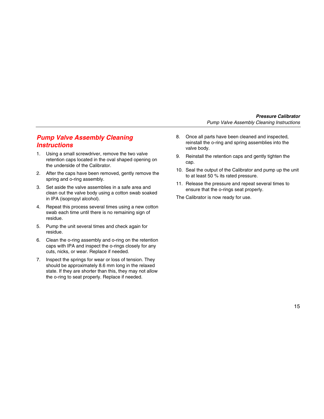# <span id="page-22-0"></span>*Pump Valve Assembly Cleaning Instructions*

- 1. Using a small screwdriver, remove the two valve retention caps located in the oval shaped opening on the underside of the Calibrator.
- 2. After the caps have been removed, gently remove the spring and o-ring assembly.
- 3. Set aside the valve assemblies in a safe area and clean out the valve body using a cotton swab soaked in IPA (isopropyl alcohol).
- 4. Repeat this process several times using a new cotton swab each time until there is no remaining sign of residue.
- 5. Pump the unit several times and check again for residue.
- 6. Clean the o-ring assembly and o-ring on the retention caps with IPA and inspect the o-rings closely for any cuts, nicks, or wear. Replace if needed.
- 7. Inspect the springs for wear or loss of tension. They should be approximately 8.6 mm long in the relaxed state. If they are shorter than this, they may not allow the o-ring to seat properly. Replace if needed.
- 8. Once all parts have been cleaned and inspected, reinstall the o-ring and spring assemblies into the valve body.
- 9. Reinstall the retention caps and gently tighten the cap.
- 10. Seal the output of the Calibrator and pump up the unit to at least 50 % its rated pressure.
- 11. Release the pressure and repeat several times to ensure that the o-rings seat properly.

The Calibrator is now ready for use.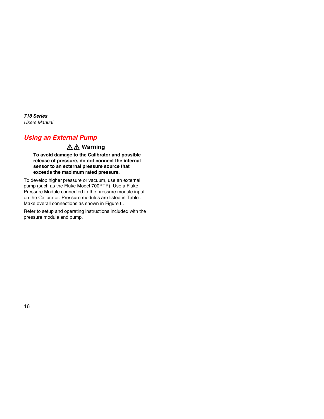# <span id="page-23-0"></span>*Using an External Pump*

# XW **Warning**

**To avoid damage to the Calibrator and possible release of pressure, do not connect the internal sensor to an external pressure source that exceeds the maximum rated pressure.** 

To develop higher pressure or vacuum, use an external pump (such as the Fluke Model 700PTP). Use a Fluke Pressure Module connected to the pressure module input on the Calibrator. Pressure modules are listed in Table . Make overall connections as shown in Figure 6.

Refer to setup and operating instructions included with the pressure module and pump.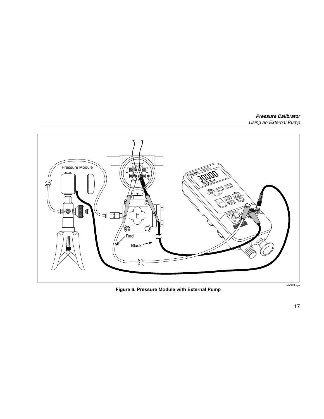<span id="page-24-0"></span>

**Figure 6. Pressure Module with External Pump**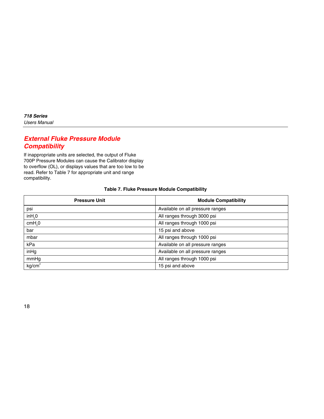# <span id="page-25-0"></span>*External Fluke Pressure Module Compatibility*

If inappropriate units are selected, the output of Fluke 700P Pressure Modules can cause the Calibrator display to overflow (OL), or displays values that are too low to be read. Refer to Table 7 for appropriate unit and range compatibility.

| <b>Pressure Unit</b> | <b>Module Compatibility</b>      |  |
|----------------------|----------------------------------|--|
| psi                  | Available on all pressure ranges |  |
| in H <sub>2</sub> 0  | All ranges through 3000 psi      |  |
| cmH <sub>2</sub> 0   | All ranges through 1000 psi      |  |
| bar                  | 15 psi and above                 |  |
| mbar                 | All ranges through 1000 psi      |  |
| kPa                  | Available on all pressure ranges |  |
| inHg                 | Available on all pressure ranges |  |
| mmHg                 | All ranges through 1000 psi      |  |
| kg/cm <sup>2</sup>   | 15 psi and above                 |  |

#### **Table 7. Fluke Pressure Module Compatibility**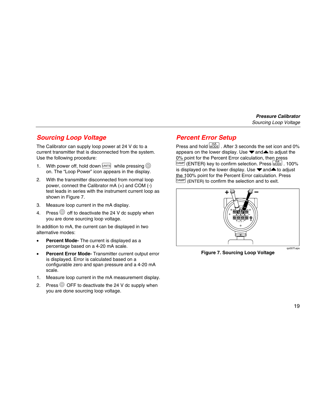# <span id="page-26-0"></span>*Sourcing Loop Voltage*

The Calibrator can supply loop power at 24 V dc to a current transmitter that is disconnected from the system. Use the following procedure:

- 1. With power off, hold down  $\boxed{\text{UNITS}}$  while pressing  $\textcircled{\odot}$ on. The "Loop Power" icon appears in the display.
- 2. With the transmitter disconnected from normal loop power, connect the Calibrator mA (+) and COM (-) test leads in series with the instrument current loop as shown in Figure 7.
- 3. Measure loop current in the mA display.
- 4. Press  $\circledcirc$  off to deactivate the 24 V dc supply when you are done sourcing loop voltage.

In addition to mA, the current can be displayed in two alternative modes:

- **Percent Mode-** The current is displayed as a percentage based on a 4-20 mA scale.
- **Percent Error Mode-** Transmitter current output error is displayed. Error is calculated based on a configurable zero and span pressure and a 4-20 mA scale.
- 1. Measure loop current in the mA measurement display.
- 2. Press  $\circledcirc$  OFF to deactivate the 24 V dc supply when you are done sourcing loop voltage.

# *Percent Error Setup*

Press and hold  $\overline{m_A^{mA}}$  After 3 seconds the set icon and 0% appears on the lower display. Use  $\blacktriangledown$  and  $\blacktriangle$  to adjust the 0% point for the Percent Error calculation, then press  $\Box$ DAMP (ENTER) key to confirm selection. Press  $\Box$  $\Box$  $\Box$  $\Box$  100% is displayed on the lower display. Use  $\blacktriangledown$  and  $\blacktriangle$  to adjust the 100% point for the Percent Error calculation. Press  $[DAMP]$  (ENTER) to confirm the selection and to exit.



**Figure 7. Sourcing Loop Voltage** 

qo007f.eps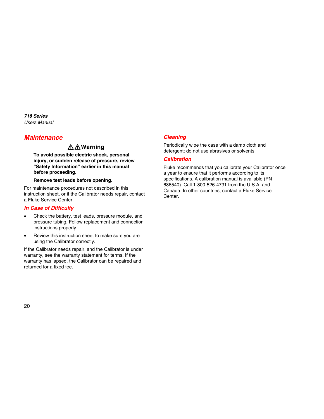# <span id="page-27-0"></span>*Maintenance*

# XW**Warning**

**To avoid possible electric shock, personal injury, or sudden release of pressure, review "Safety Information" earlier in this manual before proceeding.** 

#### **Remove test leads before opening.**

For maintenance procedures not described in this instruction sheet, or if the Calibrator needs repair, contact a Fluke Service Center.

## *In Case of Difficulty*

- Check the battery, test leads, pressure module, and pressure tubing. Follow replacement and connection instructions properly.
- Review this instruction sheet to make sure you are using the Calibrator correctly.

If the Calibrator needs repair, and the Calibrator is under warranty, see the warranty statement for terms. If the warranty has lapsed, the Calibrator can be repaired and returned for a fixed fee.

## *Cleaning*

Periodically wipe the case with a damp cloth and detergent; do not use abrasives or solvents.

### *Calibration*

Fluke recommends that you calibrate your Calibrator once a year to ensure that it performs according to its specifications. A calibration manual is available (PN 686540). Call 1-800-526-4731 from the U.S.A. and Canada. In other countries, contact a Fluke Service Center.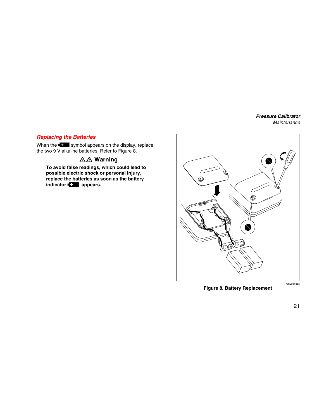## <span id="page-28-0"></span>*Replacing the Batteries*

When the  $\blacksquare$  symbol appears on the display, replace the two 9 V alkaline batteries. Refer to Figure 8.

# XW **Warning**

**To avoid false readings, which could lead to possible electric shock or personal injury, replace the batteries as soon as the battery indicator B** appears.



**Figure 8. Battery Replacement**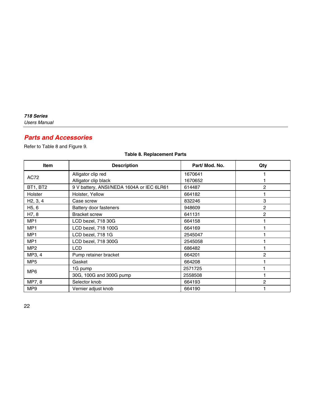# <span id="page-29-0"></span>*Parts and Accessories*

Refer to Table 8 and Figure 9.

## **Table 8. Replacement Parts**

| <b>Item</b>        | <b>Description</b>                        | Part/ Mod. No. | Qty |
|--------------------|-------------------------------------------|----------------|-----|
|                    | Alligator clip red                        | 1670641        |     |
| AC72               | Alligator clip black                      | 1670652        |     |
| BT1, BT2           | 9 V battery, ANSI/NEDA 1604A or IEC 6LR61 | 614487         | 2   |
| <b>Holster</b>     | Holster, Yellow                           | 664182         |     |
| H2, 3, 4           | Case screw                                | 832246         | 3   |
| H <sub>5</sub> , 6 | Battery door fasteners                    | 948609         | 2   |
| H7, 8              | <b>Bracket screw</b>                      | 641131         | 2   |
| MP <sub>1</sub>    | LCD bezel, 718 30G                        | 664158         |     |
| MP <sub>1</sub>    | LCD bezel, 718 100G                       | 664169         |     |
| MP <sub>1</sub>    | LCD bezel, 718 1G                         | 2545047        |     |
| MP1                | LCD bezel, 718 300G                       | 2545058        |     |
| MP <sub>2</sub>    | <b>LCD</b>                                | 686482         |     |
| MP3, 4             | Pump retainer bracket                     | 664201         | 2   |
| MP <sub>5</sub>    | Gasket                                    | 664208         |     |
| MP <sub>6</sub>    | 1G pump                                   | 2571725        |     |
|                    | 30G, 100G and 300G pump                   | 2558508        |     |
| MP7, 8             | Selector knob                             | 664193         | 2   |
| MP <sub>9</sub>    | Vernier adjust knob                       | 664190         |     |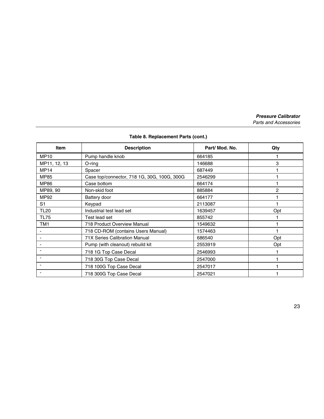|  | Table 8. Replacement Parts (cont.) |  |  |
|--|------------------------------------|--|--|
|--|------------------------------------|--|--|

| <b>Item</b>  | <b>Description</b>                          | Part/ Mod. No. | Qty |
|--------------|---------------------------------------------|----------------|-----|
| <b>MP10</b>  | Pump handle knob                            | 664185         |     |
| MP11, 12, 13 | O-ring                                      | 146688         | 3   |
| <b>MP14</b>  | Spacer                                      | 687449         |     |
| <b>MP85</b>  | Case top/connector, 718 1G, 30G, 100G, 300G | 2546299        |     |
| <b>MP86</b>  | Case bottom                                 | 664174         |     |
| MP89, 90     | Non-skid foot                               | 885884         | 2   |
| MP92         | Battery door                                | 664177         |     |
| S1           | Keypad                                      | 2113087        |     |
| <b>TL20</b>  | Industrial test lead set                    | 1639457        | Opt |
| <b>TL75</b>  | Test lead set                               | 855742         |     |
| TM1          | 718 Product Overview Manual                 | 1549632        |     |
|              | 718 CD-ROM (contains Users Manual)          | 1574463        |     |
|              | <b>71X Series Calibration Manual</b>        | 686540         | Opt |
|              | Pump (with cleanout) rebuild kit            | 2553919        | Opt |
|              | 718 1G Top Case Decal                       | 2546993        |     |
|              | 718 30G Top Case Decal                      | 2547000        |     |
|              | 718 100G Top Case Decal                     | 2547017        |     |
|              | 718 300G Top Case Decal                     | 2547021        |     |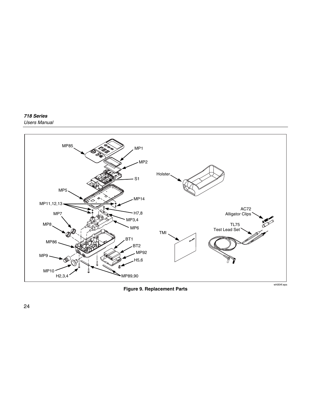#### <span id="page-31-0"></span>*718 Series Users Manual*



**Figure 9. Replacement Parts**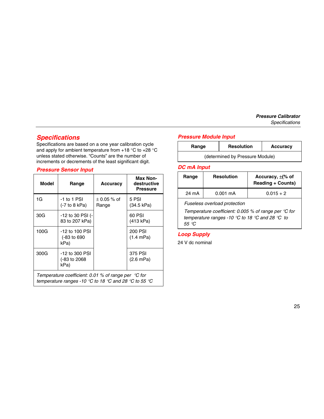# <span id="page-32-0"></span>*Specifications*

Specifications are based on a one year calibration cycle and apply for ambient temperature from  $+18$  °C to  $+28$  °C unless stated otherwise. "Counts" are the number of increments or decrements of the least significant digit.

## *Pressure Sensor Input*

| Model                                                                                                                 | Range                                   | Accuracy                 | Max Non-<br>destructive<br><b>Pressure</b> |
|-----------------------------------------------------------------------------------------------------------------------|-----------------------------------------|--------------------------|--------------------------------------------|
| 1G                                                                                                                    | -1 to 1 PSI<br>$(-7)$ to 8 kPa)         | $\pm$ 0.05 % of<br>Range | 5 PSI<br>(34.5 kPa)                        |
| 30G                                                                                                                   | -12 to 30 PSI (-<br>83 to 207 kPa)      |                          | 60 PSI<br>(413 kPa)                        |
| 100G                                                                                                                  | -12 to 100 PSI<br>(-83 to 690<br>kPa)   |                          | 200 PSI<br>$(1.4 \text{ mPa})$             |
| 300G                                                                                                                  | -12 to 300 PSI<br>(-83 to 2068)<br>kPa) |                          | 375 PSI<br>$(2.6 \text{ mPa})$             |
| Temperature coefficient: 0.01 % of range per $\degree C$ for<br>temperature ranges -10 °C to 18 °C and 28 °C to 55 °C |                                         |                          |                                            |

## *Pressure Module Input*

| Range                           | <b>Resolution</b> | Accuracy |
|---------------------------------|-------------------|----------|
| (determined by Pressure Module) |                   |          |

## *DC mA Input*

| Range                                                                                                                                                     | <b>Resolution</b>  | Accuracy, $\pm$ (% of<br><b>Reading + Counts)</b> |
|-----------------------------------------------------------------------------------------------------------------------------------------------------------|--------------------|---------------------------------------------------|
| 24 mA                                                                                                                                                     | $0.001 \text{ mA}$ | $0.015 + 2$                                       |
| Fuseless overload protection<br>Temperature coefficient: 0.005 % of range per $\degree$ C for<br>temperature ranges -10 °C to 18 °C and 28 °C to<br>55 °C |                    |                                                   |

## *Loop Supply*

24 V dc nominal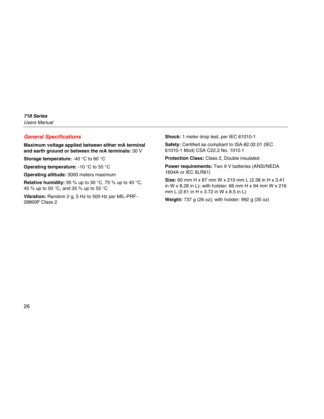### <span id="page-33-0"></span>*General Specifications*

**Maximum voltage applied between either mA terminal and earth ground or between the mA terminals:** 30 V

**Storage temperature:** -40 °C to 60 °C

**Operating temperature:** -10 °C to 55 °C

**Operating altitude:** 3000 meters maximum

**Relative humidity:** 95 % up to 30 °C, 75 % up to 40 °C, 45 % up to 50 °C, and 35 % up to 55 °C

**Vibration:** Random 2 g, 5 Hz to 500 Hz per MIL-PRF-28800F Class 2

**Shock:** 1 meter drop test, per IEC 61010-1

**Safety:** Certified as compliant to ISA-82.02.01 (IEC 61010-1 Mod) CSA C22.2 No. 1010.1

**Protection Class:** Class 2, Double insulated

**Power requirements:** Two 9 V batteries (ANSI/NEDA 1604A or IEC 6LR61)

**Size:** 60 mm H x 87 mm W x 210 mm L (2.38 in H x 3.41 in W x 8.28 in L); with holster: 66 mm H x 94 mm W x 216 mm L (2.61 in H x 3.72 in W x 8.5 in L)

**Weight:** 737 g (26 oz); with holster: 992 g (35 oz)